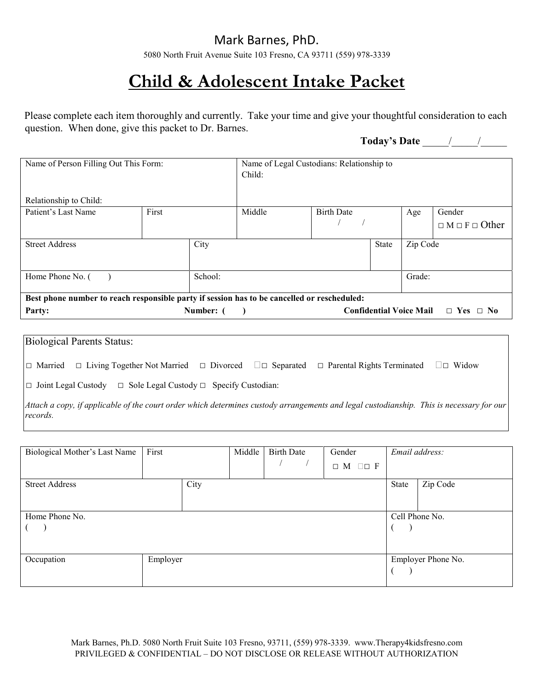5080 North Fruit Avenue Suite 103 Fresno, CA 93711 (559) 978-3339

# **Child & Adolescent Intake Packet**

Please complete each item thoroughly and currently. Take your time and give your thoughtful consideration to each question. When done, give this packet to Dr. Barnes.

**Today's Date** \_\_\_\_\_/\_\_\_\_\_/\_\_\_\_\_

| Name of Person Filling Out This Form:                                                       |       |           | Name of Legal Custodians: Relationship to<br>Child: |                   |       |                                |                            |
|---------------------------------------------------------------------------------------------|-------|-----------|-----------------------------------------------------|-------------------|-------|--------------------------------|----------------------------|
| Relationship to Child:                                                                      |       |           |                                                     |                   |       |                                |                            |
| Patient's Last Name                                                                         | First |           | Middle                                              | <b>Birth Date</b> |       | Age                            | Gender                     |
|                                                                                             |       |           |                                                     |                   |       |                                | $\Box M \Box F \Box$ Other |
| <b>Street Address</b>                                                                       |       | City      |                                                     |                   | State | Zip Code                       |                            |
|                                                                                             |       |           |                                                     |                   |       |                                |                            |
| Home Phone No. (                                                                            |       | School:   |                                                     |                   |       | Grade:                         |                            |
| Best phone number to reach responsible party if session has to be cancelled or rescheduled: |       |           |                                                     |                   |       |                                |                            |
| Party:                                                                                      |       | Number: ( |                                                     |                   |       | <b>Confidential Voice Mail</b> | $\Box$ Yes $\Box$ No       |

| Biological Parents Status:                                                                                                                           |  |  |                                                                                                                    |  |  |  |  |  |
|------------------------------------------------------------------------------------------------------------------------------------------------------|--|--|--------------------------------------------------------------------------------------------------------------------|--|--|--|--|--|
| $\Box$ Married                                                                                                                                       |  |  | $\Box$ Living Together Not Married $\Box$ Divorced $\Box$ Separated $\Box$ Parental Rights Terminated $\Box$ Widow |  |  |  |  |  |
| $\Box$ Joint Legal Custody $\Box$ Sole Legal Custody $\Box$ Specify Custodian:                                                                       |  |  |                                                                                                                    |  |  |  |  |  |
| Attach a copy, if applicable of the court order which determines custody arrangements and legal custodianship. This is necessary for our<br>records. |  |  |                                                                                                                    |  |  |  |  |  |

| Biological Mother's Last Name | First    |      | Middle | <b>Birth Date</b> | Gender<br>$\Box M \Box \Box F$ |                | Email address:     |
|-------------------------------|----------|------|--------|-------------------|--------------------------------|----------------|--------------------|
| <b>Street Address</b>         |          | City |        |                   |                                | State          | Zip Code           |
| Home Phone No.                |          |      |        |                   |                                | Cell Phone No. |                    |
| Occupation                    | Employer |      |        |                   |                                |                | Employer Phone No. |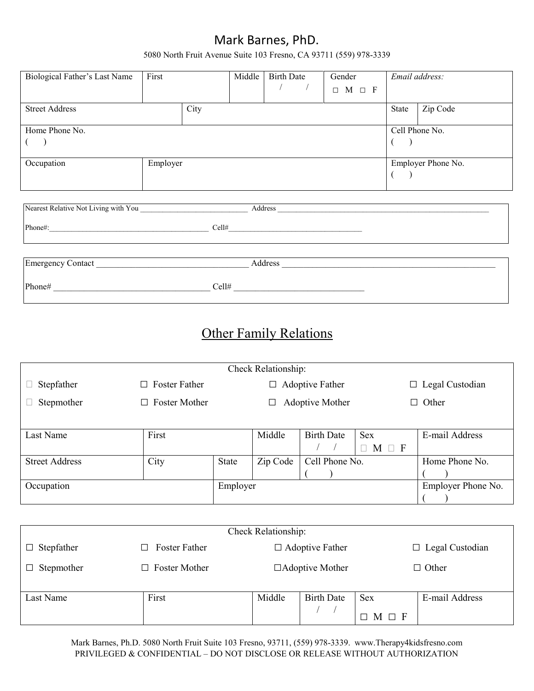5080 North Fruit Avenue Suite 103 Fresno, CA 93711 (559) 978-3339

| Biological Father's Last Name | First    |      | Middle | Birth Date | Gender<br>$\Box$ M $\Box$ F |       | Email address:     |
|-------------------------------|----------|------|--------|------------|-----------------------------|-------|--------------------|
| <b>Street Address</b>         |          | City |        |            |                             | State | Zip Code           |
| Home Phone No.                |          |      |        |            |                             |       | Cell Phone No.     |
| Occupation                    | Employer |      |        |            |                             |       | Employer Phone No. |

| Nearest Relative Not Living with You |       | Address |
|--------------------------------------|-------|---------|
| Phone#:                              | Cell# |         |
| Emergency Contact                    |       | Address |
| Phone#                               | Cell# |         |

# Other Family Relations

|                       |                                |              | Check Relationship:    |                        |                   |                        |
|-----------------------|--------------------------------|--------------|------------------------|------------------------|-------------------|------------------------|
| Stepfather            | $\Box$ Foster Father           |              | <b>Adoptive Father</b> |                        |                   | $\Box$ Legal Custodian |
| Stepmother            | <b>Foster Mother</b><br>$\Box$ |              |                        | Adoptive Mother        | Other<br>$\Box$   |                        |
|                       |                                |              |                        |                        |                   |                        |
| Last Name             | First                          |              | Middle                 | <b>Birth Date</b>      | <b>Sex</b>        | E-mail Address         |
|                       |                                |              |                        |                        | $\Box$ M $\Box$ F |                        |
| <b>Street Address</b> | City                           | <b>State</b> | Zip Code               | Cell Phone No.         |                   | Home Phone No.         |
|                       |                                |              |                        |                        |                   |                        |
| Occupation            |                                | Employer     |                        |                        |                   | Employer Phone No.     |
|                       |                                |              |                        |                        |                   |                        |
|                       |                                |              |                        |                        |                   |                        |
|                       |                                |              | Check Relationship:    |                        |                   |                        |
| Stepfather<br>$\Box$  | Foster Father<br>□             |              | $\Box$ Adoptive Father |                        |                   | Legal Custodian<br>□   |
| Stepmother<br>□       | <b>Foster Mother</b><br>$\Box$ |              |                        | $\Box$ Adoptive Mother |                   | $\Box$ Other           |
|                       |                                |              |                        |                        |                   |                        |
| Last Name             | First                          |              | Middle                 | <b>Birth Date</b>      | <b>Sex</b>        | E-mail Address         |
|                       |                                |              |                        |                        | M<br>П            |                        |

Mark Barnes, Ph.D. 5080 North Fruit Suite 103 Fresno, 93711, (559) 978-3339. www.Therapy4kidsfresno.com PRIVILEGED & CONFIDENTIAL – DO NOT DISCLOSE OR RELEASE WITHOUT AUTHORIZATION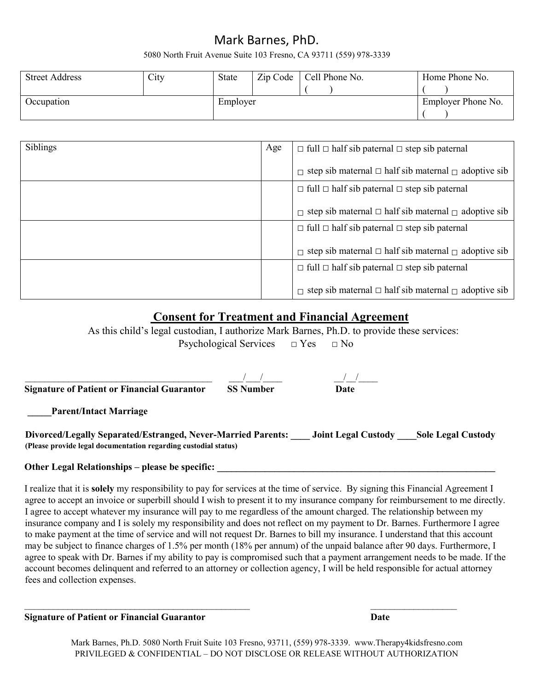#### 5080 North Fruit Avenue Suite 103 Fresno, CA 93711 (559) 978-3339

| <b>Street Address</b> | City | State    | Zip Code | Cell Phone No. | Home Phone No.     |
|-----------------------|------|----------|----------|----------------|--------------------|
| Occupation            |      | Employer |          |                | Employer Phone No. |

| Siblings | Age | $\Box$ full $\Box$ half sib paternal $\Box$ step sib paternal         |
|----------|-----|-----------------------------------------------------------------------|
|          |     | $\Box$ step sib maternal $\Box$ half sib maternal $\Box$ adoptive sib |
|          |     | $\Box$ full $\Box$ half sib paternal $\Box$ step sib paternal         |
|          |     | $\Box$ step sib maternal $\Box$ half sib maternal $\Box$ adoptive sib |
|          |     | $\Box$ full $\Box$ half sib paternal $\Box$ step sib paternal         |
|          |     | $\Box$ step sib maternal $\Box$ half sib maternal $\Box$ adoptive sib |
|          |     | $\Box$ full $\Box$ half sib paternal $\Box$ step sib paternal         |
|          |     | $\Box$ step sib maternal $\Box$ half sib maternal $\Box$ adoptive sib |

### **Consent for Treatment and Financial Agreement**

As this child's legal custodian, I authorize Mark Barnes, Ph.D. to provide these services: Psychological Services  $\Box$  Yes  $\Box$  No

| <b>Signature of Patient or Financial Guarantor</b> | <b>SS Number</b> | Date |  |
|----------------------------------------------------|------------------|------|--|
| <b>Parent/Intact Marriage</b>                      |                  |      |  |

#### **Divorced/Legally Separated/Estranged, Never-Married Parents: \_\_\_\_ Joint Legal Custody \_\_\_\_Sole Legal Custody (Please provide legal documentation regarding custodial status)**

#### Other Legal Relationships – please be specific: \_\_\_\_\_\_\_\_\_\_\_\_\_\_\_\_\_\_\_\_\_\_\_\_\_\_\_\_\_\_\_\_\_

I realize that it is **solely** my responsibility to pay for services at the time of service. By signing this Financial Agreement I agree to accept an invoice or superbill should I wish to present it to my insurance company for reimbursement to me directly. I agree to accept whatever my insurance will pay to me regardless of the amount charged. The relationship between my insurance company and I is solely my responsibility and does not reflect on my payment to Dr. Barnes. Furthermore I agree to make payment at the time of service and will not request Dr. Barnes to bill my insurance. I understand that this account may be subject to finance charges of 1.5% per month (18% per annum) of the unpaid balance after 90 days. Furthermore, I agree to speak with Dr. Barnes if my ability to pay is compromised such that a payment arrangement needs to be made. If the account becomes delinquent and referred to an attorney or collection agency, I will be held responsible for actual attorney fees and collection expenses.

**Signature of Patient or Financial Guarantor Date**

Mark Barnes, Ph.D. 5080 North Fruit Suite 103 Fresno, 93711, (559) 978-3339. www.Therapy4kidsfresno.com PRIVILEGED & CONFIDENTIAL – DO NOT DISCLOSE OR RELEASE WITHOUT AUTHORIZATION

 $\_$  , and the contribution of the contribution of  $\mathcal{L}_\mathcal{A}$  , and the contribution of  $\mathcal{L}_\mathcal{A}$  , and the contribution of  $\mathcal{L}_\mathcal{A}$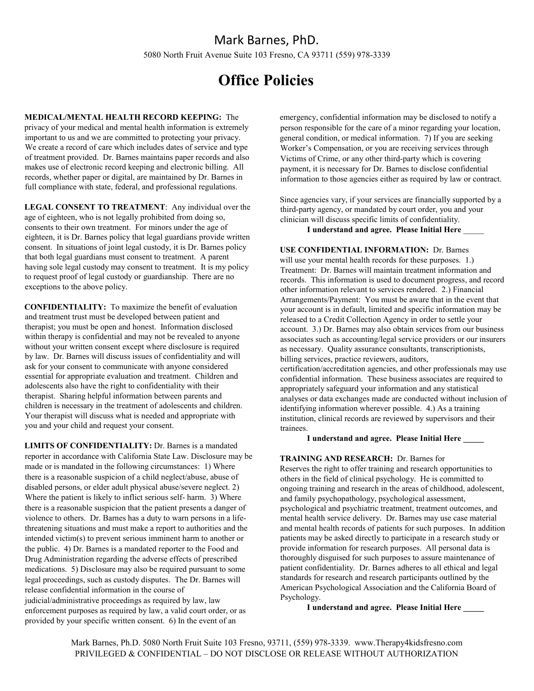#### Mark Barnes, PhD. 5080 North Fruit Avenue Suite 103 Fresno, CA 93711 (559) 978-3339

# **Office Policies**

**MEDICAL/MENTAL HEALTH RECORD KEEPING:** The privacy of your medical and mental health information is extremely important to us and we are committed to protecting your privacy. We create a record of care which includes dates of service and type of treatment provided. Dr. Barnes maintains paper records and also makes use of electronic record keeping and electronic billing. All records, whether paper or digital, are maintained by Dr. Barnes in full compliance with state, federal, and professional regulations.

**LEGAL CONSENT TO TREATMENT**: Any individual over the age of eighteen, who is not legally prohibited from doing so, consents to their own treatment. For minors under the age of eighteen, it is Dr. Barnes policy that legal guardians provide written consent. In situations of joint legal custody, it is Dr. Barnes policy that both legal guardians must consent to treatment. A parent having sole legal custody may consent to treatment. It is my policy to request proof of legal custody or guardianship. There are no exceptions to the above policy.

**CONFIDENTIALITY:** To maximize the benefit of evaluation and treatment trust must be developed between patient and therapist; you must be open and honest. Information disclosed within therapy is confidential and may not be revealed to anyone without your written consent except where disclosure is required by law. Dr. Barnes will discuss issues of confidentiality and will ask for your consent to communicate with anyone considered essential for appropriate evaluation and treatment. Children and adolescents also have the right to confidentiality with their therapist. Sharing helpful information between parents and children is necessary in the treatment of adolescents and children. Your therapist will discuss what is needed and appropriate with you and your child and request your consent.

**LIMITS OF CONFIDENTIALITY:** Dr. Barnes is a mandated reporter in accordance with California State Law. Disclosure may be made or is mandated in the following circumstances: 1) Where there is a reasonable suspicion of a child neglect/abuse, abuse of disabled persons, or elder adult physical abuse/severe neglect. 2) Where the patient is likely to inflict serious self- harm. 3) Where there is a reasonable suspicion that the patient presents a danger of violence to others. Dr. Barnes has a duty to warn persons in a lifethreatening situations and must make a report to authorities and the intended victim(s) to prevent serious imminent harm to another or the public. 4) Dr. Barnes is a mandated reporter to the Food and Drug Administration regarding the adverse effects of prescribed medications. 5) Disclosure may also be required pursuant to some legal proceedings, such as custody disputes. The Dr. Barnes will release confidential information in the course of judicial/administrative proceedings as required by law, law enforcement purposes as required by law, a valid court order, or as provided by your specific written consent. 6) In the event of an

emergency, confidential information may be disclosed to notify a person responsible for the care of a minor regarding your location, general condition, or medical information. 7) If you are seeking Worker's Compensation, or you are receiving services through Victims of Crime, or any other third-party which is covering payment, it is necessary for Dr. Barnes to disclose confidential information to those agencies either as required by law or contract.

Since agencies vary, if your services are financially supported by a third-party agency, or mandated by court order, you and your clinician will discuss specific limits of confidentiality.

#### **I understand and agree. Please Initial Here** \_\_\_\_\_

#### **USE CONFIDENTIAL INFORMATION:** Dr. Barnes

will use your mental health records for these purposes. 1.) Treatment: Dr. Barnes will maintain treatment information and records. This information is used to document progress, and record other information relevant to services rendered. 2.) Financial Arrangements/Payment: You must be aware that in the event that your account is in default, limited and specific information may be released to a Credit Collection Agency in order to settle your account. 3.) Dr. Barnes may also obtain services from our business associates such as accounting/legal service providers or our insurers as necessary. Quality assurance consultants, transcriptionists, billing services, practice reviewers, auditors, certification/accreditation agencies, and other professionals may use confidential information. These business associates are required to

appropriately safeguard your information and any statistical analyses or data exchanges made are conducted without inclusion of identifying information wherever possible. 4.) As a training institution, clinical records are reviewed by supervisors and their trainees.

#### **I understand and agree. Please Initial Here \_\_\_\_\_**

#### **TRAINING AND RESEARCH:** Dr. Barnes for

Reserves the right to offer training and research opportunities to others in the field of clinical psychology. He is committed to ongoing training and research in the areas of childhood, adolescent, and family psychopathology, psychological assessment, psychological and psychiatric treatment, treatment outcomes, and mental health service delivery. Dr. Barnes may use case material and mental health records of patients for such purposes. In addition patients may be asked directly to participate in a research study or provide information for research purposes. All personal data is thoroughly disguised for such purposes to assure maintenance of patient confidentiality. Dr. Barnes adheres to all ethical and legal standards for research and research participants outlined by the American Psychological Association and the California Board of Psychology.

**I understand and agree. Please Initial Here \_\_\_\_\_**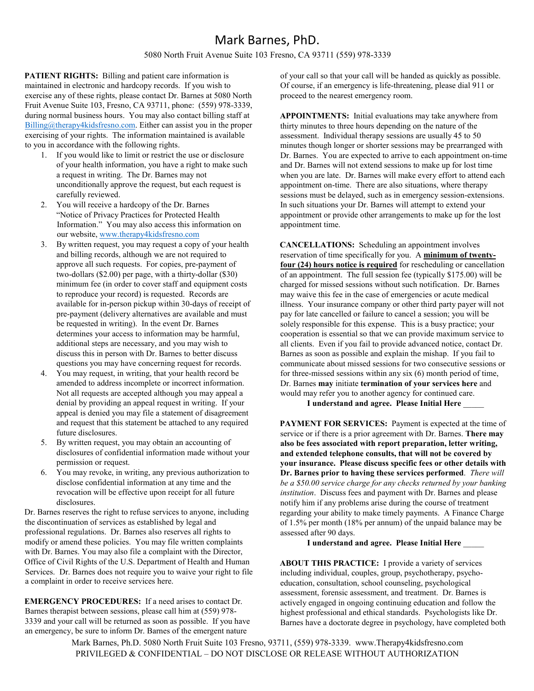5080 North Fruit Avenue Suite 103 Fresno, CA 93711 (559) 978-3339

**PATIENT RIGHTS:** Billing and patient care information is maintained in electronic and hardcopy records. If you wish to exercise any of these rights, please contact Dr. Barnes at 5080 North Fruit Avenue Suite 103, Fresno, CA 93711, phone: (559) 978-3339, during normal business hours. You may also contact billing staff at [Billing@therapy4kidsfresno.com.](mailto:Billing@therapy4kidsfresno.com) Either can assist you in the proper exercising of your rights. The information maintained is available to you in accordance with the following rights.

- 1. If you would like to limit or restrict the use or disclosure of your health information, you have a right to make such a request in writing. The Dr. Barnes may not unconditionally approve the request, but each request is carefully reviewed.
- 2. You will receive a hardcopy of the Dr. Barnes "Notice of Privacy Practices for Protected Health Information." You may also access this information on our website, [www.therapy4kidsfresno.com](http://www.therapy4kidsfresno.com/)
- 3. By written request, you may request a copy of your health and billing records, although we are not required to approve all such requests. For copies, pre-payment of two-dollars (\$2.00) per page, with a thirty-dollar (\$30) minimum fee (in order to cover staff and equipment costs to reproduce your record) is requested. Records are available for in-person pickup within 30-days of receipt of pre-payment (delivery alternatives are available and must be requested in writing). In the event Dr. Barnes determines your access to information may be harmful, additional steps are necessary, and you may wish to discuss this in person with Dr. Barnes to better discuss questions you may have concerning request for records.
- 4. You may request, in writing, that your health record be amended to address incomplete or incorrect information. Not all requests are accepted although you may appeal a denial by providing an appeal request in writing. If your appeal is denied you may file a statement of disagreement and request that this statement be attached to any required future disclosures.
- 5. By written request, you may obtain an accounting of disclosures of confidential information made without your permission or request.
- 6. You may revoke, in writing, any previous authorization to disclose confidential information at any time and the revocation will be effective upon receipt for all future disclosures.

Dr. Barnes reserves the right to refuse services to anyone, including the discontinuation of services as established by legal and professional regulations. Dr. Barnes also reserves all rights to modify or amend these policies. You may file written complaints with Dr. Barnes. You may also file a complaint with the Director, Office of Civil Rights of the U.S. Department of Health and Human Services. Dr. Barnes does not require you to waive your right to file a complaint in order to receive services here.

**EMERGENCY PROCEDURES:** If a need arises to contact Dr. Barnes therapist between sessions, please call him at (559) 978- 3339 and your call will be returned as soon as possible. If you have an emergency, be sure to inform Dr. Barnes of the emergent nature

of your call so that your call will be handed as quickly as possible. Of course, if an emergency is life-threatening, please dial 911 or proceed to the nearest emergency room.

**APPOINTMENTS:** Initial evaluations may take anywhere from thirty minutes to three hours depending on the nature of the assessment. Individual therapy sessions are usually 45 to 50 minutes though longer or shorter sessions may be prearranged with Dr. Barnes. You are expected to arrive to each appointment on-time and Dr. Barnes will not extend sessions to make up for lost time when you are late. Dr. Barnes will make every effort to attend each appointment on-time. There are also situations, where therapy sessions must be delayed, such as in emergency session-extensions. In such situations your Dr. Barnes will attempt to extend your appointment or provide other arrangements to make up for the lost appointment time.

**CANCELLATIONS:** Scheduling an appointment involves reservation of time specifically for you. A **minimum of twentyfour (24) hours notice is required** for rescheduling or cancellation of an appointment. The full session fee (typically \$175.00) will be charged for missed sessions without such notification. Dr. Barnes may waive this fee in the case of emergencies or acute medical illness. Your insurance company or other third party payer will not pay for late cancelled or failure to cancel a session; you will be solely responsible for this expense. This is a busy practice; your cooperation is essential so that we can provide maximum service to all clients. Even if you fail to provide advanced notice, contact Dr. Barnes as soon as possible and explain the mishap. If you fail to communicate about missed sessions for two consecutive sessions or for three-missed sessions within any six (6) month period of time, Dr. Barnes **may** initiate **termination of your services here** and would may refer you to another agency for continued care.

**I understand and agree. Please Initial Here** \_\_\_\_\_

**PAYMENT FOR SERVICES:** Payment is expected at the time of service or if there is a prior agreement with Dr. Barnes. **There may also be fees associated with report preparation, letter writing, and extended telephone consults, that will not be covered by your insurance. Please discuss specific fees or other details with Dr. Barnes prior to having these services performed**. *There will be a \$50.00 service charge for any checks returned by your banking institution*. Discuss fees and payment with Dr. Barnes and please notify him if any problems arise during the course of treatment regarding your ability to make timely payments. A Finance Charge of 1.5% per month (18% per annum) of the unpaid balance may be assessed after 90 days.

#### **I understand and agree. Please Initial Here** \_\_\_\_\_

**ABOUT THIS PRACTICE:** I provide a variety of services including individual, couples, group, psychotherapy, psychoeducation, consultation, school counseling, psychological assessment, forensic assessment, and treatment. Dr. Barnes is actively engaged in ongoing continuing education and follow the highest professional and ethical standards. Psychologists like Dr. Barnes have a doctorate degree in psychology, have completed both

Mark Barnes, Ph.D. 5080 North Fruit Suite 103 Fresno, 93711, (559) 978-3339. www.Therapy4kidsfresno.com PRIVILEGED & CONFIDENTIAL – DO NOT DISCLOSE OR RELEASE WITHOUT AUTHORIZATION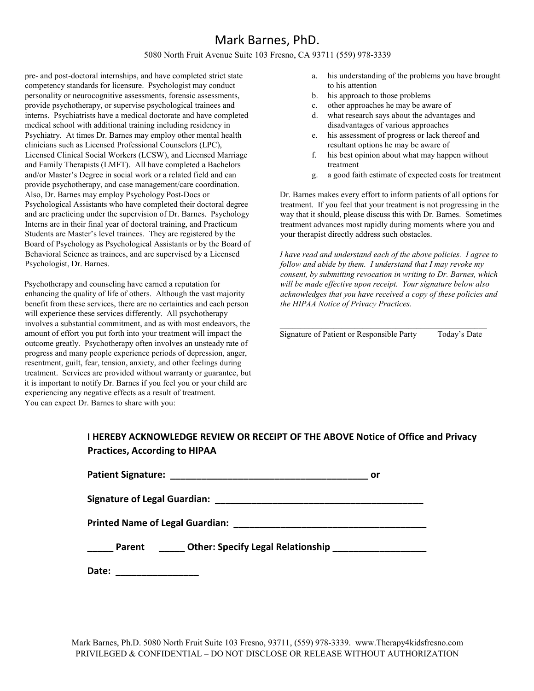#### 5080 North Fruit Avenue Suite 103 Fresno, CA 93711 (559) 978-3339

pre- and post-doctoral internships, and have completed strict state competency standards for licensure. Psychologist may conduct personality or neurocognitive assessments, forensic assessments, provide psychotherapy, or supervise psychological trainees and interns. Psychiatrists have a medical doctorate and have completed medical school with additional training including residency in Psychiatry. At times Dr. Barnes may employ other mental health clinicians such as Licensed Professional Counselors (LPC), Licensed Clinical Social Workers (LCSW), and Licensed Marriage and Family Therapists (LMFT). All have completed a Bachelors and/or Master's Degree in social work or a related field and can provide psychotherapy, and case management/care coordination. Also, Dr. Barnes may employ Psychology Post-Docs or Psychological Assistants who have completed their doctoral degree and are practicing under the supervision of Dr. Barnes. Psychology Interns are in their final year of doctoral training, and Practicum Students are Master's level trainees. They are registered by the Board of Psychology as Psychological Assistants or by the Board of Behavioral Science as trainees, and are supervised by a Licensed Psychologist, Dr. Barnes.

Psychotherapy and counseling have earned a reputation for enhancing the quality of life of others. Although the vast majority benefit from these services, there are no certainties and each person will experience these services differently. All psychotherapy involves a substantial commitment, and as with most endeavors, the amount of effort you put forth into your treatment will impact the outcome greatly. Psychotherapy often involves an unsteady rate of progress and many people experience periods of depression, anger, resentment, guilt, fear, tension, anxiety, and other feelings during treatment. Services are provided without warranty or guarantee, but it is important to notify Dr. Barnes if you feel you or your child are experiencing any negative effects as a result of treatment. You can expect Dr. Barnes to share with you:

- a. his understanding of the problems you have brought to his attention
- b. his approach to those problems
- c. other approaches he may be aware of
- d. what research says about the advantages and disadvantages of various approaches
- e. his assessment of progress or lack thereof and resultant options he may be aware of
- f. his best opinion about what may happen without treatment
- g. a good faith estimate of expected costs for treatment

Dr. Barnes makes every effort to inform patients of all options for treatment. If you feel that your treatment is not progressing in the way that it should, please discuss this with Dr. Barnes. Sometimes treatment advances most rapidly during moments where you and your therapist directly address such obstacles.

*I have read and understand each of the above policies. I agree to follow and abide by them. I understand that I may revoke my consent, by submitting revocation in writing to Dr. Barnes, which will be made effective upon receipt. Your signature below also acknowledges that you have received a copy of these policies and the HIPAA Notice of Privacy Practices.*

\_\_\_\_\_\_\_\_\_\_\_\_\_\_\_\_\_\_\_\_\_\_\_\_\_\_\_\_\_\_\_\_\_\_\_\_\_\_\_\_\_\_\_\_\_\_\_\_\_\_ Signature of Patient or Responsible Party Today's Date

#### **I HEREBY ACKNOWLEDGE REVIEW OR RECEIPT OF THE ABOVE Notice of Office and Privacy Practices, According to HIPAA**

| <b>Patient Signature:</b>              | or                                       |  |
|----------------------------------------|------------------------------------------|--|
| <b>Signature of Legal Guardian:</b>    |                                          |  |
| <b>Printed Name of Legal Guardian:</b> |                                          |  |
| Parent                                 | <b>Other: Specify Legal Relationship</b> |  |
| Date:                                  |                                          |  |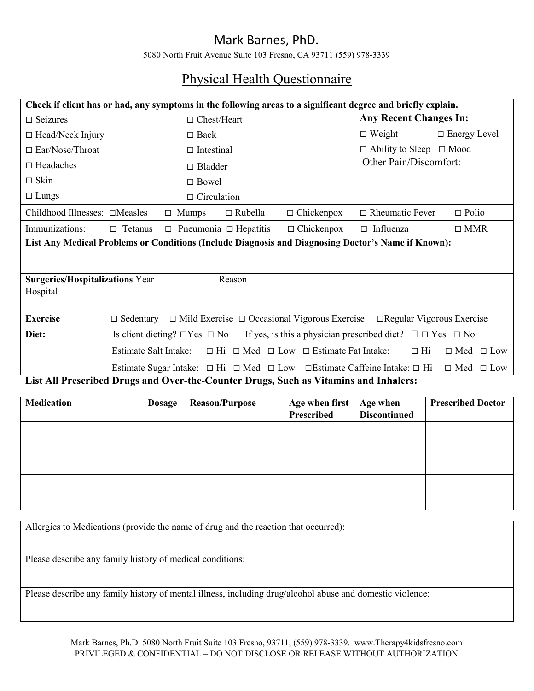5080 North Fruit Avenue Suite 103 Fresno, CA 93711 (559) 978-3339

# Physical Health Questionnaire

| Check if client has or had, any symptoms in the following areas to a significant degree and briefly explain. |                              |                                                                                                            |                   |                                                                                  |                          |
|--------------------------------------------------------------------------------------------------------------|------------------------------|------------------------------------------------------------------------------------------------------------|-------------------|----------------------------------------------------------------------------------|--------------------------|
| $\Box$ Seizures                                                                                              |                              | $\Box$ Chest/Heart                                                                                         |                   | <b>Any Recent Changes In:</b>                                                    |                          |
| □ Head/Neck Injury                                                                                           |                              | $\Box$ Back                                                                                                |                   | $\Box$ Weight                                                                    | $\Box$ Energy Level      |
| □ Ear/Nose/Throat                                                                                            |                              | $\Box$ Intestinal                                                                                          |                   | $\Box$ Ability to Sleep $\Box$ Mood                                              |                          |
| $\Box$ Headaches                                                                                             |                              | $\Box$ Bladder                                                                                             |                   | Other Pain/Discomfort:                                                           |                          |
| $\Box$ Skin                                                                                                  |                              | $\Box$ Bowel                                                                                               |                   |                                                                                  |                          |
| $\Box$ Lungs                                                                                                 |                              | $\Box$ Circulation                                                                                         |                   |                                                                                  |                          |
| Childhood Illnesses: □Measles                                                                                |                              | $\Box$ Rubella<br>$\Box$ Mumps                                                                             | $\Box$ Chickenpox | $\Box$ Rheumatic Fever                                                           | $\Box$ Polio             |
| Immunizations:<br>$\Box$ Tetanus                                                                             |                              | $\Box$ Pneumonia $\Box$ Hepatitis                                                                          | $\Box$ Chickenpox | $\Box$ Influenza                                                                 | $\square$ MMR            |
| List Any Medical Problems or Conditions (Include Diagnosis and Diagnosing Doctor's Name if Known):           |                              |                                                                                                            |                   |                                                                                  |                          |
|                                                                                                              |                              |                                                                                                            |                   |                                                                                  |                          |
| <b>Surgeries/Hospitalizations Year</b>                                                                       |                              | Reason                                                                                                     |                   |                                                                                  |                          |
| Hospital                                                                                                     |                              |                                                                                                            |                   |                                                                                  |                          |
|                                                                                                              |                              |                                                                                                            |                   |                                                                                  |                          |
| <b>Exercise</b>                                                                                              |                              | $\Box$ Sedentary $\Box$ Mild Exercise $\Box$ Occasional Vigorous Exercise $\Box$ Regular Vigorous Exercise |                   |                                                                                  |                          |
| Diet:                                                                                                        |                              | Is client dieting? $\square$ Yes $\square$ No                                                              |                   | If yes, is this a physician prescribed diet? $\square \square Y$ es $\square$ No |                          |
|                                                                                                              | <b>Estimate Salt Intake:</b> | $\Box$ Hi $\Box$ Med $\Box$ Low $\Box$ Estimate Fat Intake:                                                |                   | $\Box$ Hi                                                                        | $\Box$ Med $\Box$ Low    |
|                                                                                                              |                              | Estimate Sugar Intake: $\Box$ Hi $\Box$ Med $\Box$ Low $\Box$ Estimate Caffeine Intake: $\Box$ Hi          |                   |                                                                                  | $\Box$ Med $\Box$ Low    |
| List All Prescribed Drugs and Over-the-Counter Drugs, Such as Vitamins and Inhalers:                         |                              |                                                                                                            |                   |                                                                                  |                          |
| <b>Medication</b>                                                                                            | <b>Dosage</b>                | <b>Reason/Purpose</b>                                                                                      | Age when first    | Age when                                                                         | <b>Prescribed Doctor</b> |
|                                                                                                              |                              |                                                                                                            | Prescribed        | <b>Discontinued</b>                                                              |                          |
|                                                                                                              |                              |                                                                                                            |                   |                                                                                  |                          |
|                                                                                                              |                              |                                                                                                            |                   |                                                                                  |                          |
|                                                                                                              |                              |                                                                                                            |                   |                                                                                  |                          |
|                                                                                                              |                              |                                                                                                            |                   |                                                                                  |                          |
|                                                                                                              |                              |                                                                                                            |                   |                                                                                  |                          |
|                                                                                                              |                              |                                                                                                            |                   |                                                                                  |                          |
| Allergies to Medications (provide the name of drug and the reaction that occurred):                          |                              |                                                                                                            |                   |                                                                                  |                          |
|                                                                                                              |                              |                                                                                                            |                   |                                                                                  |                          |

Please describe any family history of medical conditions:

Please describe any family history of mental illness, including drug/alcohol abuse and domestic violence: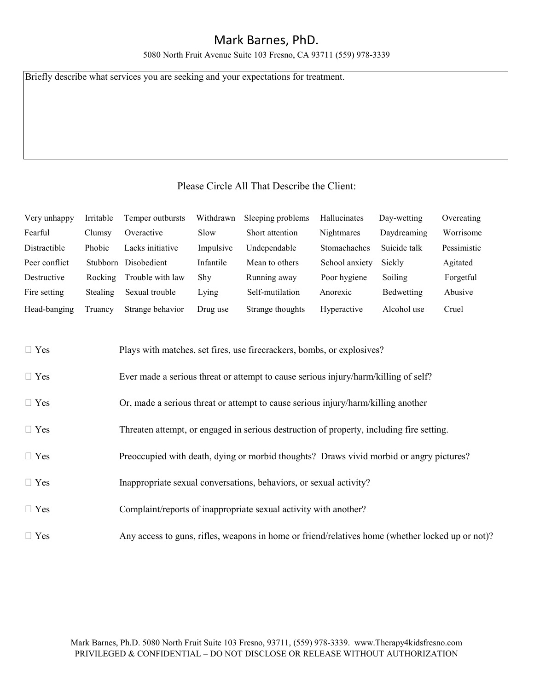5080 North Fruit Avenue Suite 103 Fresno, CA 93711 (559) 978-3339

Briefly describe what services you are seeking and your expectations for treatment.

#### Please Circle All That Describe the Client:

| Very unhappy        | Irritable     | Temper outbursts | Withdrawn | Sleeping problems | Hallucinates      | Day-wetting  | Overeating  |
|---------------------|---------------|------------------|-----------|-------------------|-------------------|--------------|-------------|
| Fearful             | Clumsy        | Overactive       | Slow      | Short attention   | <b>Nightmares</b> | Daydreaming  | Worrisome   |
| <b>Distractible</b> | <b>Phobic</b> | Lacks initiative | Impulsive | Undependable      | Stomachaches      | Suicide talk | Pessimistic |
| Peer conflict       | Stubborn      | Disobedient      | Infantile | Mean to others    | School anxiety    | Sickly       | Agitated    |
| Destructive         | Rocking       | Trouble with law | Shy       | Running away      | Poor hygiene      | Soiling      | Forgetful   |
| Fire setting        | Stealing      | Sexual trouble   | Lying     | Self-mutilation   | Anorexic          | Bedwetting   | Abusive     |
| Head-banging        | Truancy       | Strange behavior | Drug use  | Strange thoughts  | Hyperactive       | Alcohol use  | Cruel       |

| $\Box$ Yes | Plays with matches, set fires, use firecrackers, bombs, or explosives?                           |
|------------|--------------------------------------------------------------------------------------------------|
| $\Box$ Yes | Ever made a serious threat or attempt to cause serious injury/harm/killing of self?              |
| $\Box$ Yes | Or, made a serious threat or attempt to cause serious injury/harm/killing another                |
| $\Box$ Yes | Threaten attempt, or engaged in serious destruction of property, including fire setting.         |
| $\Box$ Yes | Preoccupied with death, dying or morbid thoughts? Draws vivid morbid or angry pictures?          |
| $\Box$ Yes | Inappropriate sexual conversations, behaviors, or sexual activity?                               |
| $\Box$ Yes | Complaint/reports of inappropriate sexual activity with another?                                 |
| $\Box$ Yes | Any access to guns, rifles, weapons in home or friend/relatives home (whether locked up or not)? |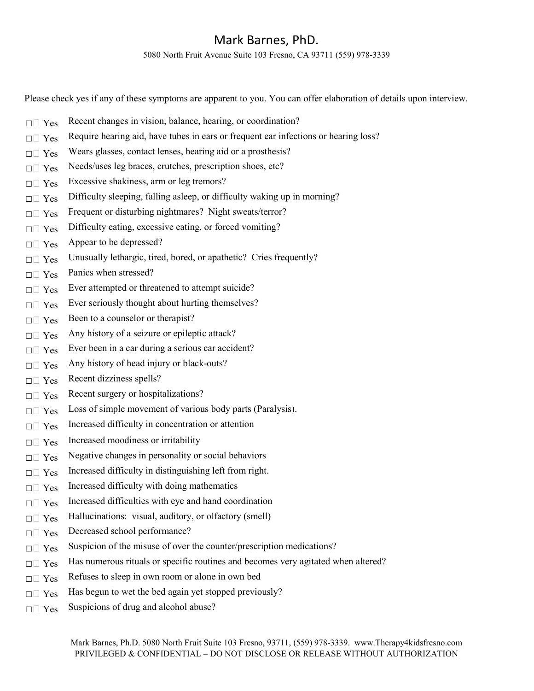5080 North Fruit Avenue Suite 103 Fresno, CA 93711 (559) 978-3339

Please check yes if any of these symptoms are apparent to you. You can offer elaboration of details upon interview.

- $\Box$  Yes Recent changes in vision, balance, hearing, or coordination?
- $\Box \Box$  Yes Require hearing aid, have tubes in ears or frequent ear infections or hearing loss?
- $\Box \Box$  Yes Wears glasses, contact lenses, hearing aid or a prosthesis?
- $\Box \Box$  Yes Needs/uses leg braces, crutches, prescription shoes, etc?
- $\square \square$  Yes Excessive shakiness, arm or leg tremors?
- $\Box$  Yes Difficulty sleeping, falling asleep, or difficulty waking up in morning?
- $\Box$  Yes Frequent or disturbing nightmares? Night sweats/terror?
- $\Box$  Yes Difficulty eating, excessive eating, or forced vomiting?
- $\square \sqcap \text{Yes}$  Appear to be depressed?
- $\square \square$  Yes Unusually lethargic, tired, bored, or apathetic? Cries frequently?
- $\Box$  Yes Panics when stressed?
- $\Box$  Yes Ever attempted or threatened to attempt suicide?
- $\Box$  Yes Ever seriously thought about hurting themselves?
- $\square \square$  Yes Been to a counselor or therapist?
- $\Box \Box$  Yes Any history of a seizure or epileptic attack?
- $\square \square$  Yes Ever been in a car during a serious car accident?
- $\square \square$  Yes Any history of head injury or black-outs?
- $\Box$  Yes Recent dizziness spells?
- $\Box$  Yes Recent surgery or hospitalizations?
- $\Box \Box$  Yes Loss of simple movement of various body parts (Paralysis).
- $\Box \Box$  Yes Increased difficulty in concentration or attention
- $\Box$  Yes Increased moodiness or irritability
- $\Box \Box$  Yes Negative changes in personality or social behaviors
- $\Box$  Yes Increased difficulty in distinguishing left from right.
- $\Box \Box$  Yes Increased difficulty with doing mathematics
- $\square \square$  Yes Increased difficulties with eye and hand coordination
- $\square \square$  Yes Hallucinations: visual, auditory, or olfactory (smell)
- □□ Yes Decreased school performance?
- $\square \square$  Yes Suspicion of the misuse of over the counter/prescription medications?
- $\Box$  Yes Has numerous rituals or specific routines and becomes very agitated when altered?
- $\Box \Box$  Yes Refuses to sleep in own room or alone in own bed
- $\square \square$  Yes Has begun to wet the bed again yet stopped previously?
- $\Box$  Yes Suspicions of drug and alcohol abuse?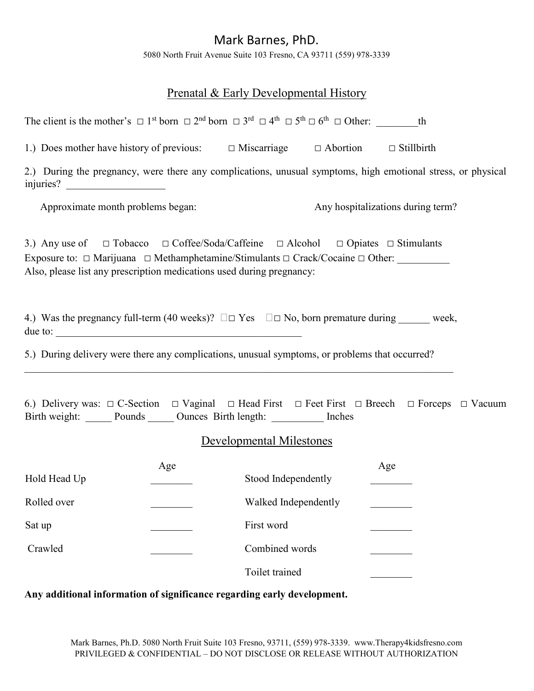5080 North Fruit Avenue Suite 103 Fresno, CA 93711 (559) 978-3339

### Prenatal & Early Developmental History

| The client is the mother's $\Box$ 1 <sup>st</sup> born $\Box$ 2 <sup>nd</sup> born $\Box$ 3 <sup>rd</sup> $\Box$ 4 <sup>th</sup> $\Box$ 5 <sup>th</sup> $\Box$ 6 <sup>th</sup> $\Box$ 0ther: th                                                                                              |     |                          |                                   |  |
|----------------------------------------------------------------------------------------------------------------------------------------------------------------------------------------------------------------------------------------------------------------------------------------------|-----|--------------------------|-----------------------------------|--|
| 1.) Does mother have history of previous: $\Box$ Miscarriage $\Box$ Abortion $\Box$ Stillbirth                                                                                                                                                                                               |     |                          |                                   |  |
| 2.) During the pregnancy, were there any complications, unusual symptoms, high emotional stress, or physical                                                                                                                                                                                 |     |                          |                                   |  |
| Approximate month problems began:                                                                                                                                                                                                                                                            |     |                          | Any hospitalizations during term? |  |
| 3.) Any use of $\square$ Tobacco $\square$ Coffee/Soda/Caffeine $\square$ Alcohol $\square$ Opiates $\square$ Stimulants<br>Exposure to: □ Marijuana □ Methamphetamine/Stimulants □ Crack/Cocaine □ Other: ________<br>Also, please list any prescription medications used during pregnancy: |     |                          |                                   |  |
| 4.) Was the pregnancy full-term (40 weeks)? $\square \square Y$ es $\square \square N$ o, born premature during ______ week,<br>due to:                                                                                                                                                      |     |                          |                                   |  |
| 5.) During delivery were there any complications, unusual symptoms, or problems that occurred?                                                                                                                                                                                               |     |                          |                                   |  |
| 6.) Delivery was: $\Box$ C-Section $\Box$ Vaginal $\Box$ Head First $\Box$ Feet First $\Box$ Breech $\Box$ Forceps $\Box$ Vacuum<br>Birth weight: Pounds Cunces Birth length: Inches                                                                                                         |     | Developmental Milestones |                                   |  |
|                                                                                                                                                                                                                                                                                              |     |                          |                                   |  |
| Hold Head Up                                                                                                                                                                                                                                                                                 | Age | Stood Independently      | Age                               |  |
| Rolled over                                                                                                                                                                                                                                                                                  |     | Walked Independently     |                                   |  |
| Sat up                                                                                                                                                                                                                                                                                       |     | First word               |                                   |  |
| Crawled                                                                                                                                                                                                                                                                                      |     | Combined words           |                                   |  |
|                                                                                                                                                                                                                                                                                              |     | Toilet trained           |                                   |  |

#### **Any additional information of significance regarding early development.**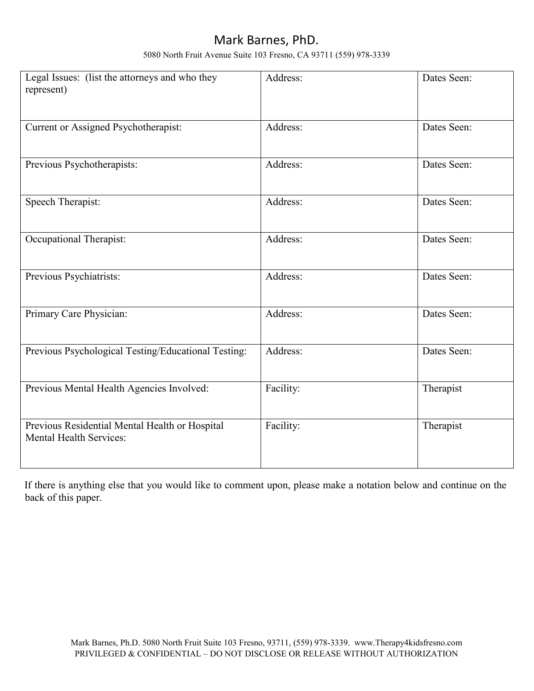5080 North Fruit Avenue Suite 103 Fresno, CA 93711 (559) 978-3339

| Legal Issues: (list the attorneys and who they<br>represent)                     | Address:  | Dates Seen: |
|----------------------------------------------------------------------------------|-----------|-------------|
| Current or Assigned Psychotherapist:                                             | Address:  | Dates Seen: |
| Previous Psychotherapists:                                                       | Address:  | Dates Seen: |
| Speech Therapist:                                                                | Address:  | Dates Seen: |
| Occupational Therapist:                                                          | Address:  | Dates Seen: |
| Previous Psychiatrists:                                                          | Address:  | Dates Seen: |
| Primary Care Physician:                                                          | Address:  | Dates Seen: |
| Previous Psychological Testing/Educational Testing:                              | Address:  | Dates Seen: |
| Previous Mental Health Agencies Involved:                                        | Facility: | Therapist   |
| Previous Residential Mental Health or Hospital<br><b>Mental Health Services:</b> | Facility: | Therapist   |

If there is anything else that you would like to comment upon, please make a notation below and continue on the back of this paper.